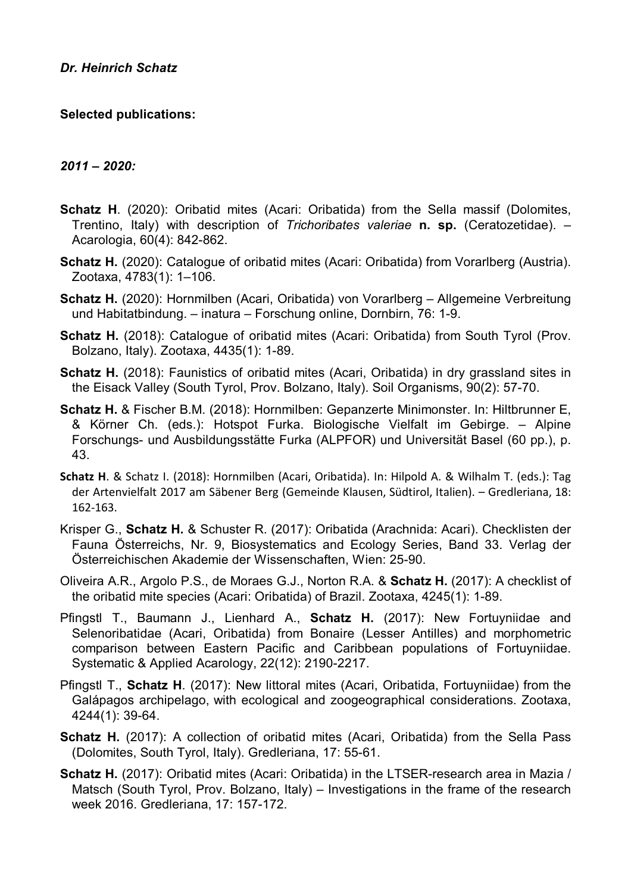# **Selected publications:**

# *2011 – 2020:*

- **Schatz H**. (2020): Oribatid mites (Acari: Oribatida) from the Sella massif (Dolomites, Trentino, Italy) with description of *Trichoribates valeriae* **n. sp.** (Ceratozetidae). – Acarologia, 60(4): 842-862.
- **Schatz H.** (2020): Catalogue of oribatid mites (Acari: Oribatida) from Vorarlberg (Austria). Zootaxa, 4783(1): 1–106.
- **Schatz H.** (2020): Hornmilben (Acari, Oribatida) von Vorarlberg Allgemeine Verbreitung und Habitatbindung. – inatura – Forschung online, Dornbirn, 76: 1-9.
- **Schatz H.** (2018): Catalogue of oribatid mites (Acari: Oribatida) from South Tyrol (Prov. Bolzano, Italy). Zootaxa, 4435(1): 1-89.
- **Schatz H.** (2018): Faunistics of oribatid mites (Acari, Oribatida) in dry grassland sites in the Eisack Valley (South Tyrol, Prov. Bolzano, Italy). Soil Organisms, 90(2): 57-70.
- **Schatz H.** & Fischer B.M. (2018): Hornmilben: Gepanzerte Minimonster. In: Hiltbrunner E, & Körner Ch. (eds.): Hotspot Furka. Biologische Vielfalt im Gebirge. – Alpine Forschungs- und Ausbildungsstätte Furka (ALPFOR) und Universität Basel (60 pp.), p. 43.
- **Schatz H**. & Schatz I. (2018): Hornmilben (Acari, Oribatida). In: Hilpold A. & Wilhalm T. (eds.): Tag der Artenvielfalt 2017 am Säbener Berg (Gemeinde Klausen, Südtirol, Italien). – Gredleriana, 18: 162-163.
- Krisper G., **Schatz H.** & Schuster R. (2017): Oribatida (Arachnida: Acari). Checklisten der Fauna Österreichs, Nr. 9, Biosystematics and Ecology Series, Band 33. Verlag der Österreichischen Akademie der Wissenschaften, Wien: 25-90.
- Oliveira A.R., Argolo P.S., de Moraes G.J., Norton R.A. & **Schatz H.** (2017): A checklist of the oribatid mite species (Acari: Oribatida) of Brazil. Zootaxa, 4245(1): 1-89.
- Pfingstl T., Baumann J., Lienhard A., **Schatz H.** (2017): New Fortuyniidae and Selenoribatidae (Acari, Oribatida) from Bonaire (Lesser Antilles) and morphometric comparison between Eastern Pacific and Caribbean populations of Fortuyniidae. Systematic & Applied Acarology, 22(12): 2190-2217.
- Pfingstl T., **Schatz H**. (2017): New littoral mites (Acari, Oribatida, Fortuyniidae) from the Galápagos archipelago, with ecological and zoogeographical considerations. Zootaxa, 4244(1): 39-64.
- **Schatz H.** (2017): A collection of oribatid mites (Acari, Oribatida) from the Sella Pass (Dolomites, South Tyrol, Italy). Gredleriana, 17: 55-61.
- **Schatz H.** (2017): Oribatid mites (Acari: Oribatida) in the LTSER-research area in Mazia / Matsch (South Tyrol, Prov. Bolzano, Italy) – Investigations in the frame of the research week 2016. Gredleriana, 17: 157-172.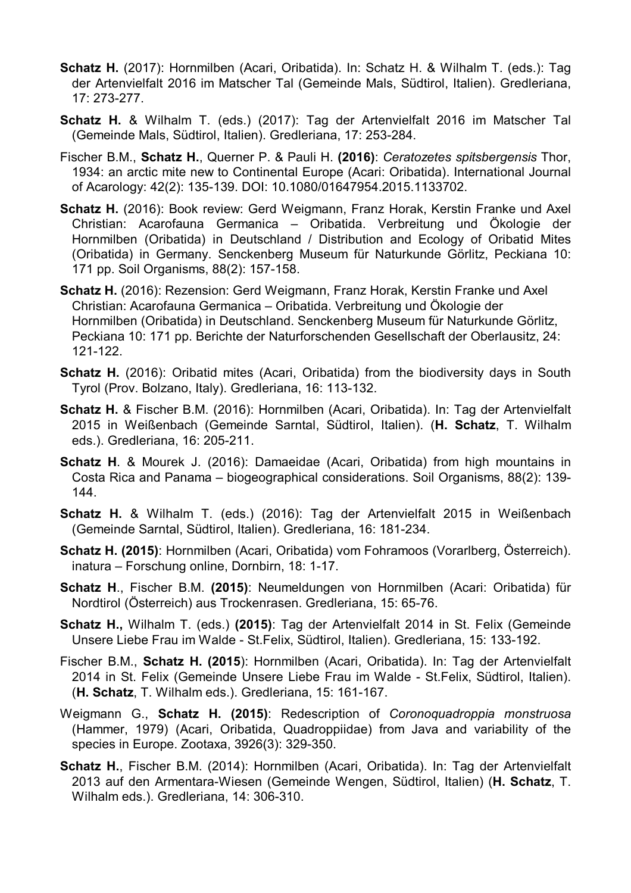- **Schatz H.** (2017): Hornmilben (Acari, Oribatida). In: Schatz H. & Wilhalm T. (eds.): Tag der Artenvielfalt 2016 im Matscher Tal (Gemeinde Mals, Südtirol, Italien). Gredleriana, 17: 273-277.
- **Schatz H.** & Wilhalm T. (eds.) (2017): Tag der Artenvielfalt 2016 im Matscher Tal (Gemeinde Mals, Südtirol, Italien). Gredleriana, 17: 253-284.
- Fischer B.M., **Schatz H.**, Querner P. & Pauli H. **(2016)**: *Ceratozetes spitsbergensis* Thor, 1934: an arctic mite new to Continental Europe (Acari: Oribatida). International Journal of Acarology: 42(2): 135-139. DOI: 10.1080/01647954.2015.1133702.
- **Schatz H.** (2016): Book review: Gerd Weigmann, Franz Horak, Kerstin Franke und Axel Christian: Acarofauna Germanica – Oribatida. Verbreitung und Ökologie der Hornmilben (Oribatida) in Deutschland / Distribution and Ecology of Oribatid Mites (Oribatida) in Germany. Senckenberg Museum für Naturkunde Görlitz, Peckiana 10: 171 pp. Soil Organisms, 88(2): 157-158.
- **Schatz H.** (2016): Rezension: Gerd Weigmann, Franz Horak, Kerstin Franke und Axel Christian: Acarofauna Germanica – Oribatida. Verbreitung und Ökologie der Hornmilben (Oribatida) in Deutschland. Senckenberg Museum für Naturkunde Görlitz, Peckiana 10: 171 pp. Berichte der Naturforschenden Gesellschaft der Oberlausitz, 24: 121-122.
- **Schatz H.** (2016): Oribatid mites (Acari, Oribatida) from the biodiversity days in South Tyrol (Prov. Bolzano, Italy). Gredleriana, 16: 113-132.
- **Schatz H.** & Fischer B.M. (2016): Hornmilben (Acari, Oribatida). In: Tag der Artenvielfalt 2015 in Weißenbach (Gemeinde Sarntal, Südtirol, Italien). (**H. Schatz**, T. Wilhalm eds.). Gredleriana, 16: 205-211.
- **Schatz H**. & Mourek J. (2016): Damaeidae (Acari, Oribatida) from high mountains in Costa Rica and Panama – biogeographical considerations. Soil Organisms, 88(2): 139- 144.
- **Schatz H.** & Wilhalm T. (eds.) (2016): Tag der Artenvielfalt 2015 in Weißenbach (Gemeinde Sarntal, Südtirol, Italien). Gredleriana, 16: 181-234.
- **Schatz H. (2015)**: Hornmilben (Acari, Oribatida) vom Fohramoos (Vorarlberg, Österreich). inatura – Forschung online, Dornbirn, 18: 1-17.
- **Schatz H**., Fischer B.M. **(2015)**: Neumeldungen von Hornmilben (Acari: Oribatida) für Nordtirol (Österreich) aus Trockenrasen. Gredleriana, 15: 65-76.
- **Schatz H.,** Wilhalm T. (eds.) **(2015)**: Tag der Artenvielfalt 2014 in St. Felix (Gemeinde Unsere Liebe Frau im Walde - St.Felix, Südtirol, Italien). Gredleriana, 15: 133-192.
- Fischer B.M., **Schatz H. (2015**): Hornmilben (Acari, Oribatida). In: Tag der Artenvielfalt 2014 in St. Felix (Gemeinde Unsere Liebe Frau im Walde - St.Felix, Südtirol, Italien). (**H. Schatz**, T. Wilhalm eds.). Gredleriana, 15: 161-167.
- Weigmann G., **Schatz H. (2015)**: Redescription of *Coronoquadroppia monstruosa* (Hammer, 1979) (Acari, Oribatida, Quadroppiidae) from Java and variability of the species in Europe. Zootaxa, 3926(3): 329-350.
- **Schatz H.**, Fischer B.M. (2014): Hornmilben (Acari, Oribatida). In: Tag der Artenvielfalt 2013 auf den Armentara-Wiesen (Gemeinde Wengen, Südtirol, Italien) (**H. Schatz**, T. Wilhalm eds.). Gredleriana, 14: 306-310.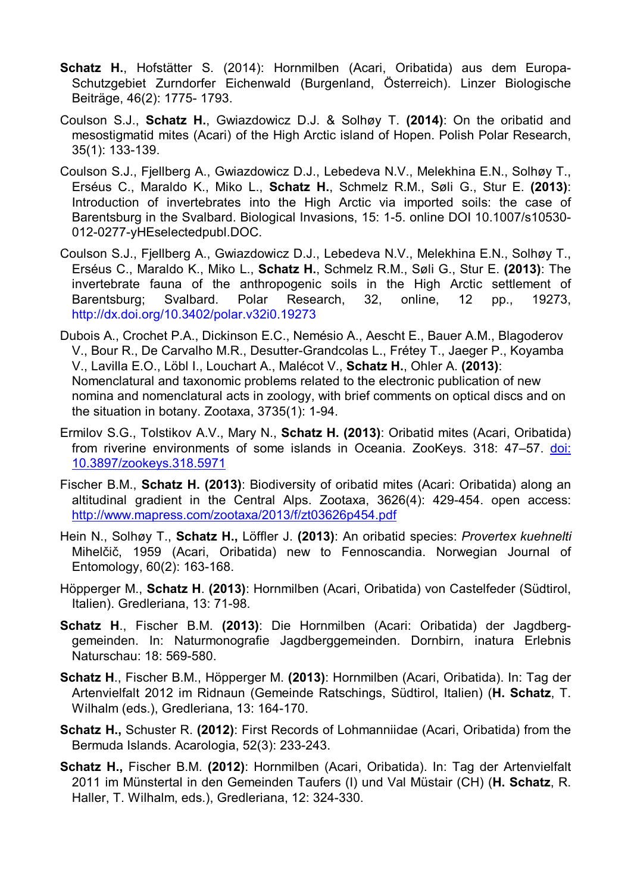- **Schatz H.**, Hofstätter S. (2014): Hornmilben (Acari, Oribatida) aus dem Europa-Schutzgebiet Zurndorfer Eichenwald (Burgenland, Österreich). Linzer Biologische Beiträge, 46(2): 1775- 1793.
- Coulson S.J., **Schatz H.**, Gwiazdowicz D.J. & Solhøy T. **(2014)**: On the oribatid and mesostigmatid mites (Acari) of the High Arctic island of Hopen. Polish Polar Research, 35(1): 133-139.
- Coulson S.J., Fjellberg A., Gwiazdowicz D.J., Lebedeva N.V., Melekhina E.N., Solhøy T., Erséus C., Maraldo K., Miko L., **Schatz H.**, Schmelz R.M., Søli G., Stur E. **(2013)**: Introduction of invertebrates into the High Arctic via imported soils: the case of Barentsburg in the Svalbard. Biological Invasions, 15: 1-5. online DOI 10.1007/s10530- 012-0277-yHEselectedpubl.DOC.
- Coulson S.J., Fjellberg A., Gwiazdowicz D.J., Lebedeva N.V., Melekhina E.N., Solhøy T., Erséus C., Maraldo K., Miko L., **Schatz H.**, Schmelz R.M., Søli G., Stur E. **(2013)**: The invertebrate fauna of the anthropogenic soils in the High Arctic settlement of Barentsburg; Svalbard. Polar Research, 32, online, 12 pp., 19273, http://dx.doi.org/10.3402/polar.v32i0.19273
- Dubois A., Crochet P.A., Dickinson E.C., Nemésio A., Aescht E., Bauer A.M., Blagoderov V., Bour R., De Carvalho M.R., Desutter-Grandcolas L., Frétey T., Jaeger P., Koyamba V., Lavilla E.O., Löbl I., Louchart A., Malécot V., **Schatz H.**, Ohler A. **(2013)**: Nomenclatural and taxonomic problems related to the electronic publication of new nomina and nomenclatural acts in zoology, with brief comments on optical discs and on the situation in botany. Zootaxa, 3735(1): 1-94.
- Ermilov S.G., Tolstikov A.V., Mary N., **Schatz H. (2013)**: Oribatid mites (Acari, Oribatida) from riverine environments of some islands in Oceania. ZooKeys. 318: 47–57. doi: 10.3897/zookeys.318.5971
- Fischer B.M., **Schatz H. (2013)**: Biodiversity of oribatid mites (Acari: Oribatida) along an altitudinal gradient in the Central Alps. Zootaxa, 3626(4): 429-454. open access: http://www.mapress.com/zootaxa/2013/f/zt03626p454.pdf
- Hein N., Solhøy T., **Schatz H.,** Löffler J. **(2013)**: An oribatid species: *Provertex kuehnelti* Mihelčič, 1959 (Acari, Oribatida) new to Fennoscandia. Norwegian Journal of Entomology, 60(2): 163-168.
- Höpperger M., **Schatz H**. **(2013)**: Hornmilben (Acari, Oribatida) von Castelfeder (Südtirol, Italien). Gredleriana, 13: 71-98.
- **Schatz H**., Fischer B.M. **(2013)**: Die Hornmilben (Acari: Oribatida) der Jagdberggemeinden. In: Naturmonografie Jagdberggemeinden. Dornbirn, inatura Erlebnis Naturschau: 18: 569-580.
- **Schatz H**., Fischer B.M., Höpperger M. **(2013)**: Hornmilben (Acari, Oribatida). In: Tag der Artenvielfalt 2012 im Ridnaun (Gemeinde Ratschings, Südtirol, Italien) (**H. Schatz**, T. Wilhalm (eds.), Gredleriana, 13: 164-170.
- **Schatz H.,** Schuster R. **(2012)**: First Records of Lohmanniidae (Acari, Oribatida) from the Bermuda Islands. Acarologia, 52(3): 233-243.
- **Schatz H.,** Fischer B.M. **(2012)**: Hornmilben (Acari, Oribatida). In: Tag der Artenvielfalt 2011 im Münstertal in den Gemeinden Taufers (I) und Val Müstair (CH) (**H. Schatz**, R. Haller, T. Wilhalm, eds.), Gredleriana, 12: 324-330.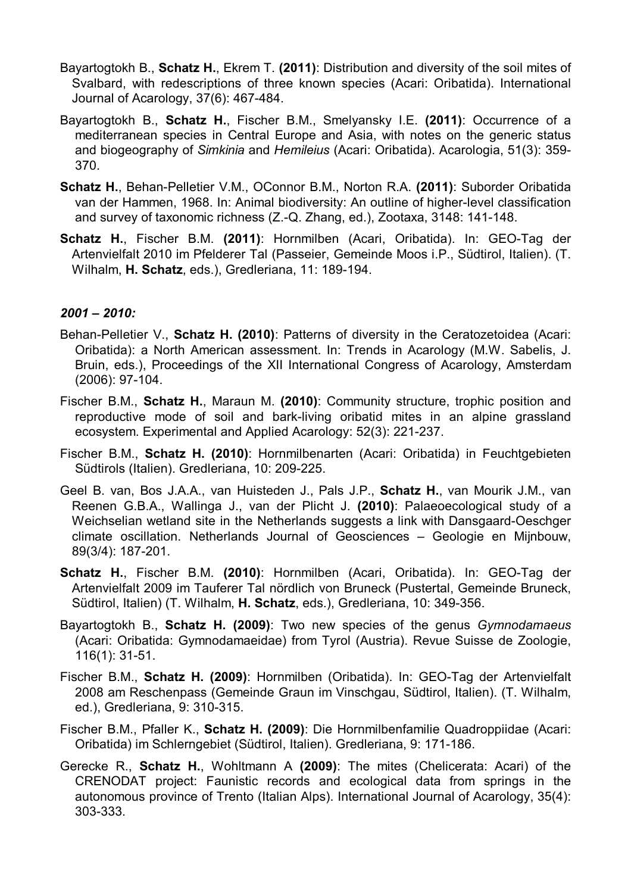- Bayartogtokh B., **Schatz H.**, Ekrem T. **(2011)**: Distribution and diversity of the soil mites of Svalbard, with redescriptions of three known species (Acari: Oribatida). International Journal of Acarology, 37(6): 467-484.
- Bayartogtokh B., **Schatz H.**, Fischer B.M., Smelyansky I.E. **(2011)**: Occurrence of a mediterranean species in Central Europe and Asia, with notes on the generic status and biogeography of *Simkinia* and *Hemileius* (Acari: Oribatida). Acarologia, 51(3): 359- 370.
- **Schatz H.**, Behan-Pelletier V.M., OConnor B.M., Norton R.A. **(2011)**: Suborder Oribatida van der Hammen, 1968. In: Animal biodiversity: An outline of higher-level classification and survey of taxonomic richness (Z.-Q. Zhang, ed.), Zootaxa, 3148: 141-148.
- **Schatz H.**, Fischer B.M. **(2011)**: Hornmilben (Acari, Oribatida). In: GEO-Tag der Artenvielfalt 2010 im Pfelderer Tal (Passeier, Gemeinde Moos i.P., Südtirol, Italien). (T. Wilhalm, **H. Schatz**, eds.), Gredleriana, 11: 189-194.

### *2001 – 2010:*

- Behan-Pelletier V., **Schatz H. (2010)**: Patterns of diversity in the Ceratozetoidea (Acari: Oribatida): a North American assessment. In: Trends in Acarology (M.W. Sabelis, J. Bruin, eds.), Proceedings of the XII International Congress of Acarology, Amsterdam (2006): 97-104.
- Fischer B.M., **Schatz H.**, Maraun M. **(2010)**: Community structure, trophic position and reproductive mode of soil and bark-living oribatid mites in an alpine grassland ecosystem. Experimental and Applied Acarology: 52(3): 221-237.
- Fischer B.M., **Schatz H. (2010)**: Hornmilbenarten (Acari: Oribatida) in Feuchtgebieten Südtirols (Italien). Gredleriana, 10: 209-225.
- Geel B. van, Bos J.A.A., van Huisteden J., Pals J.P., **Schatz H.**, van Mourik J.M., van Reenen G.B.A., Wallinga J., van der Plicht J. **(2010)**: Palaeoecological study of a Weichselian wetland site in the Netherlands suggests a link with Dansgaard-Oeschger climate oscillation. Netherlands Journal of Geosciences – Geologie en Mijnbouw, 89(3/4): 187-201.
- **Schatz H.**, Fischer B.M. **(2010)**: Hornmilben (Acari, Oribatida). In: GEO-Tag der Artenvielfalt 2009 im Tauferer Tal nördlich von Bruneck (Pustertal, Gemeinde Bruneck, Südtirol, Italien) (T. Wilhalm, **H. Schatz**, eds.), Gredleriana, 10: 349-356.
- Bayartogtokh B., **Schatz H. (2009)**: Two new species of the genus *Gymnodamaeus* (Acari: Oribatida: Gymnodamaeidae) from Tyrol (Austria). Revue Suisse de Zoologie, 116(1): 31-51.
- Fischer B.M., **Schatz H. (2009)**: Hornmilben (Oribatida). In: GEO-Tag der Artenvielfalt 2008 am Reschenpass (Gemeinde Graun im Vinschgau, Südtirol, Italien). (T. Wilhalm, ed.), Gredleriana, 9: 310-315.
- Fischer B.M., Pfaller K., **Schatz H. (2009)**: Die Hornmilbenfamilie Quadroppiidae (Acari: Oribatida) im Schlerngebiet (Südtirol, Italien). Gredleriana, 9: 171-186.
- Gerecke R., **Schatz H.**, Wohltmann A **(2009)**: The mites (Chelicerata: Acari) of the CRENODAT project: Faunistic records and ecological data from springs in the autonomous province of Trento (Italian Alps). International Journal of Acarology, 35(4): 303-333.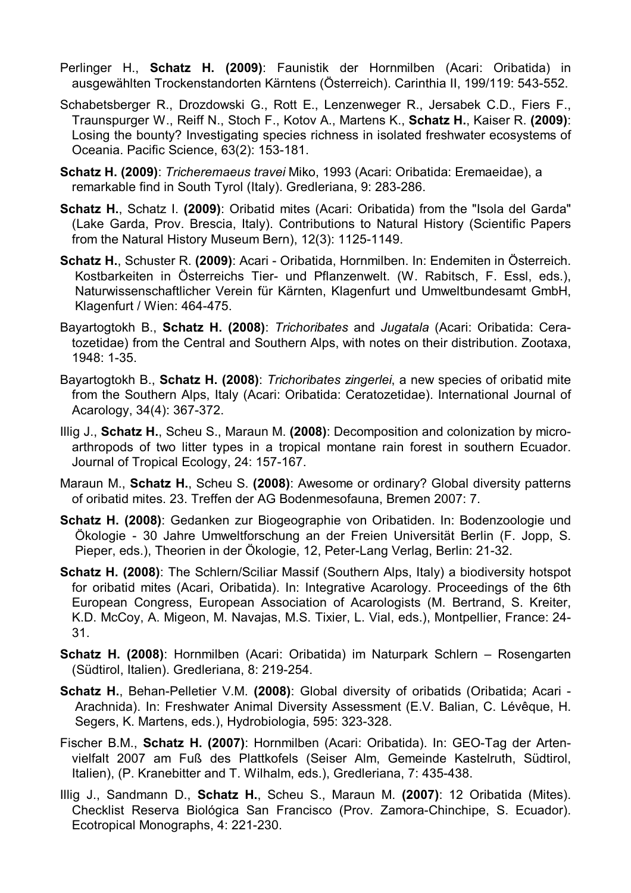- Perlinger H., **Schatz H. (2009)**: Faunistik der Hornmilben (Acari: Oribatida) in ausgewählten Trockenstandorten Kärntens (Österreich). Carinthia II, 199/119: 543-552.
- Schabetsberger R., Drozdowski G., Rott E., Lenzenweger R., Jersabek C.D., Fiers F., Traunspurger W., Reiff N., Stoch F., Kotov A., Martens K., **Schatz H.**, Kaiser R. **(2009)**: Losing the bounty? Investigating species richness in isolated freshwater ecosystems of Oceania. Pacific Science, 63(2): 153-181.
- **Schatz H. (2009)**: *Tricheremaeus travei* Miko, 1993 (Acari: Oribatida: Eremaeidae), a remarkable find in South Tyrol (Italy). Gredleriana, 9: 283-286.
- **Schatz H.**, Schatz I. **(2009)**: Oribatid mites (Acari: Oribatida) from the "Isola del Garda" (Lake Garda, Prov. Brescia, Italy). Contributions to Natural History (Scientific Papers from the Natural History Museum Bern), 12(3): 1125-1149.
- **Schatz H.**, Schuster R. **(2009)**: Acari Oribatida, Hornmilben. In: Endemiten in Österreich. Kostbarkeiten in Österreichs Tier- und Pflanzenwelt. (W. Rabitsch, F. Essl, eds.), Naturwissenschaftlicher Verein für Kärnten, Klagenfurt und Umweltbundesamt GmbH, Klagenfurt / Wien: 464-475.
- Bayartogtokh B., **Schatz H. (2008)**: *Trichoribates* and *Jugatala* (Acari: Oribatida: Ceratozetidae) from the Central and Southern Alps, with notes on their distribution. Zootaxa, 1948: 1-35.
- Bayartogtokh B., **Schatz H. (2008)**: *Trichoribates zingerlei*, a new species of oribatid mite from the Southern Alps, Italy (Acari: Oribatida: Ceratozetidae). International Journal of Acarology, 34(4): 367-372.
- Illig J., **Schatz H.**, Scheu S., Maraun M. **(2008)**: Decomposition and colonization by microarthropods of two litter types in a tropical montane rain forest in southern Ecuador. Journal of Tropical Ecology, 24: 157-167.
- Maraun M., **Schatz H.**, Scheu S. **(2008)**: Awesome or ordinary? Global diversity patterns of oribatid mites. 23. Treffen der AG Bodenmesofauna, Bremen 2007: 7.
- **Schatz H. (2008)**: Gedanken zur Biogeographie von Oribatiden. In: Bodenzoologie und Ökologie - 30 Jahre Umweltforschung an der Freien Universität Berlin (F. Jopp, S. Pieper, eds.), Theorien in der Ökologie, 12, Peter-Lang Verlag, Berlin: 21-32.
- **Schatz H. (2008)**: The Schlern/Sciliar Massif (Southern Alps, Italy) a biodiversity hotspot for oribatid mites (Acari, Oribatida). In: Integrative Acarology. Proceedings of the 6th European Congress, European Association of Acarologists (M. Bertrand, S. Kreiter, K.D. McCoy, A. Migeon, M. Navajas, M.S. Tixier, L. Vial, eds.), Montpellier, France: 24- 31.
- **Schatz H. (2008)**: Hornmilben (Acari: Oribatida) im Naturpark Schlern Rosengarten (Südtirol, Italien). Gredleriana, 8: 219-254.
- **Schatz H.**, Behan-Pelletier V.M. **(2008)**: Global diversity of oribatids (Oribatida; Acari Arachnida). In: Freshwater Animal Diversity Assessment (E.V. Balian, C. Lévêque, H. Segers, K. Martens, eds.), Hydrobiologia, 595: 323-328.
- Fischer B.M., **Schatz H. (2007)**: Hornmilben (Acari: Oribatida). In: GEO-Tag der Artenvielfalt 2007 am Fuß des Plattkofels (Seiser Alm, Gemeinde Kastelruth, Südtirol, Italien), (P. Kranebitter and T. Wilhalm, eds.), Gredleriana, 7: 435-438.
- Illig J., Sandmann D., **Schatz H.**, Scheu S., Maraun M. **(2007)**: 12 Oribatida (Mites). Checklist Reserva Biológica San Francisco (Prov. Zamora-Chinchipe, S. Ecuador). Ecotropical Monographs, 4: 221-230.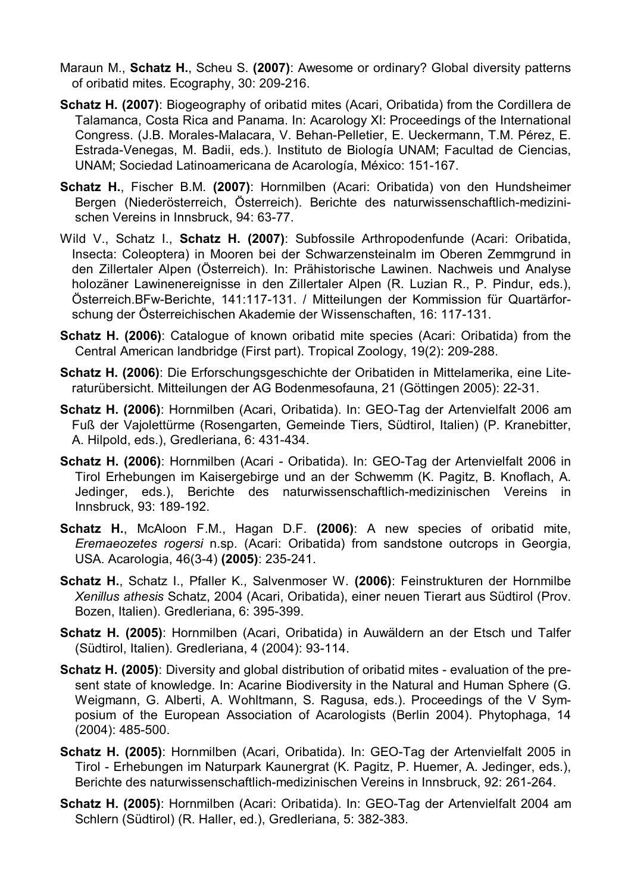- Maraun M., **Schatz H.**, Scheu S. **(2007)**: Awesome or ordinary? Global diversity patterns of oribatid mites. Ecography, 30: 209-216.
- **Schatz H. (2007)**: Biogeography of oribatid mites (Acari, Oribatida) from the Cordillera de Talamanca, Costa Rica and Panama. In: Acarology XI: Proceedings of the International Congress. (J.B. Morales-Malacara, V. Behan-Pelletier, E. Ueckermann, T.M. Pérez, E. Estrada-Venegas, M. Badii, eds.). Instituto de Biología UNAM; Facultad de Ciencias, UNAM; Sociedad Latinoamericana de Acarología, México: 151-167.
- **Schatz H.**, Fischer B.M. **(2007)**: Hornmilben (Acari: Oribatida) von den Hundsheimer Bergen (Niederösterreich, Österreich). Berichte des naturwissenschaftlich-medizinischen Vereins in Innsbruck, 94: 63-77.
- Wild V., Schatz I., **Schatz H. (2007)**: Subfossile Arthropodenfunde (Acari: Oribatida, Insecta: Coleoptera) in Mooren bei der Schwarzensteinalm im Oberen Zemmgrund in den Zillertaler Alpen (Österreich). In: Prähistorische Lawinen. Nachweis und Analyse holozäner Lawinenereignisse in den Zillertaler Alpen (R. Luzian R., P. Pindur, eds.), Österreich.BFw-Berichte, 141:117-131. / Mitteilungen der Kommission für Quartärforschung der Österreichischen Akademie der Wissenschaften, 16: 117-131.
- **Schatz H. (2006)**: Catalogue of known oribatid mite species (Acari: Oribatida) from the Central American landbridge (First part). Tropical Zoology, 19(2): 209-288.
- **Schatz H. (2006)**: Die Erforschungsgeschichte der Oribatiden in Mittelamerika, eine Literaturübersicht. Mitteilungen der AG Bodenmesofauna, 21 (Göttingen 2005): 22-31.
- **Schatz H. (2006)**: Hornmilben (Acari, Oribatida). In: GEO-Tag der Artenvielfalt 2006 am Fuß der Vajolettürme (Rosengarten, Gemeinde Tiers, Südtirol, Italien) (P. Kranebitter, A. Hilpold, eds.), Gredleriana, 6: 431-434.
- **Schatz H. (2006)**: Hornmilben (Acari Oribatida). In: GEO-Tag der Artenvielfalt 2006 in Tirol Erhebungen im Kaisergebirge und an der Schwemm (K. Pagitz, B. Knoflach, A. Jedinger, eds.), Berichte des naturwissenschaftlich-medizinischen Vereins in Innsbruck, 93: 189-192.
- **Schatz H.**, McAloon F.M., Hagan D.F. **(2006)**: A new species of oribatid mite, *Eremaeozetes rogersi* n.sp. (Acari: Oribatida) from sandstone outcrops in Georgia, USA. Acarologia, 46(3-4) **(2005)**: 235-241.
- **Schatz H.**, Schatz I., Pfaller K., Salvenmoser W. **(2006)**: Feinstrukturen der Hornmilbe *Xenillus athesis* Schatz, 2004 (Acari, Oribatida), einer neuen Tierart aus Südtirol (Prov. Bozen, Italien). Gredleriana, 6: 395-399.
- **Schatz H. (2005)**: Hornmilben (Acari, Oribatida) in Auwäldern an der Etsch und Talfer (Südtirol, Italien). Gredleriana, 4 (2004): 93-114.
- **Schatz H. (2005)**: Diversity and global distribution of oribatid mites evaluation of the present state of knowledge. In: Acarine Biodiversity in the Natural and Human Sphere (G. Weigmann, G. Alberti, A. Wohltmann, S. Ragusa, eds.). Proceedings of the V Symposium of the European Association of Acarologists (Berlin 2004). Phytophaga, 14 (2004): 485-500.
- **Schatz H. (2005)**: Hornmilben (Acari, Oribatida). In: GEO-Tag der Artenvielfalt 2005 in Tirol - Erhebungen im Naturpark Kaunergrat (K. Pagitz, P. Huemer, A. Jedinger, eds.), Berichte des naturwissenschaftlich-medizinischen Vereins in Innsbruck, 92: 261-264.
- **Schatz H. (2005)**: Hornmilben (Acari: Oribatida). In: GEO-Tag der Artenvielfalt 2004 am Schlern (Südtirol) (R. Haller, ed.), Gredleriana, 5: 382-383.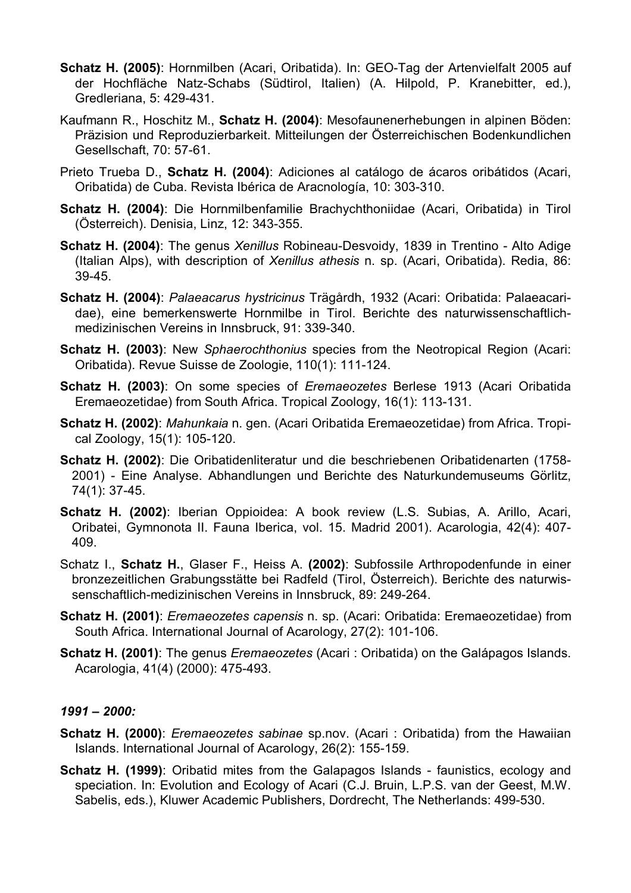- **Schatz H. (2005)**: Hornmilben (Acari, Oribatida). In: GEO-Tag der Artenvielfalt 2005 auf der Hochfläche Natz-Schabs (Südtirol, Italien) (A. Hilpold, P. Kranebitter, ed.), Gredleriana, 5: 429-431.
- Kaufmann R., Hoschitz M., **Schatz H. (2004)**: Mesofaunenerhebungen in alpinen Böden: Präzision und Reproduzierbarkeit. Mitteilungen der Österreichischen Bodenkundlichen Gesellschaft, 70: 57-61.
- Prieto Trueba D., **Schatz H. (2004)**: Adiciones al catálogo de ácaros oribátidos (Acari, Oribatida) de Cuba. Revista Ibérica de Aracnología, 10: 303-310.
- **Schatz H. (2004)**: Die Hornmilbenfamilie Brachychthoniidae (Acari, Oribatida) in Tirol (Österreich). Denisia, Linz, 12: 343-355.
- **Schatz H. (2004)**: The genus *Xenillus* Robineau-Desvoidy, 1839 in Trentino Alto Adige (Italian Alps), with description of *Xenillus athesis* n. sp. (Acari, Oribatida). Redia, 86: 39-45.
- **Schatz H. (2004)**: *Palaeacarus hystricinus* Trägårdh, 1932 (Acari: Oribatida: Palaeacaridae), eine bemerkenswerte Hornmilbe in Tirol. Berichte des naturwissenschaftlichmedizinischen Vereins in Innsbruck, 91: 339-340.
- **Schatz H. (2003)**: New *Sphaerochthonius* species from the Neotropical Region (Acari: Oribatida). Revue Suisse de Zoologie, 110(1): 111-124.
- **Schatz H. (2003)**: On some species of *Eremaeozetes* Berlese 1913 (Acari Oribatida Eremaeozetidae) from South Africa. Tropical Zoology, 16(1): 113-131.
- **Schatz H. (2002)**: *Mahunkaia* n. gen. (Acari Oribatida Eremaeozetidae) from Africa. Tropical Zoology, 15(1): 105-120.
- **Schatz H. (2002)**: Die Oribatidenliteratur und die beschriebenen Oribatidenarten (1758- 2001) - Eine Analyse. Abhandlungen und Berichte des Naturkundemuseums Görlitz, 74(1): 37-45.
- **Schatz H. (2002)**: Iberian Oppioidea: A book review (L.S. Subias, A. Arillo, Acari, Oribatei, Gymnonota II. Fauna Iberica, vol. 15. Madrid 2001). Acarologia, 42(4): 407- 409.
- Schatz I., **Schatz H.**, Glaser F., Heiss A. **(2002)**: Subfossile Arthropodenfunde in einer bronzezeitlichen Grabungsstätte bei Radfeld (Tirol, Österreich). Berichte des naturwissenschaftlich-medizinischen Vereins in Innsbruck, 89: 249-264.
- **Schatz H. (2001)**: *Eremaeozetes capensis* n. sp. (Acari: Oribatida: Eremaeozetidae) from South Africa. International Journal of Acarology, 27(2): 101-106.
- **Schatz H. (2001)**: The genus *Eremaeozetes* (Acari : Oribatida) on the Galápagos Islands. Acarologia, 41(4) (2000): 475-493.

### *1991 – 2000:*

- **Schatz H. (2000)**: *Eremaeozetes sabinae* sp.nov. (Acari : Oribatida) from the Hawaiian Islands. International Journal of Acarology, 26(2): 155-159.
- **Schatz H. (1999)**: Oribatid mites from the Galapagos Islands faunistics, ecology and speciation. In: Evolution and Ecology of Acari (C.J. Bruin, L.P.S. van der Geest, M.W. Sabelis, eds.), Kluwer Academic Publishers, Dordrecht, The Netherlands: 499-530.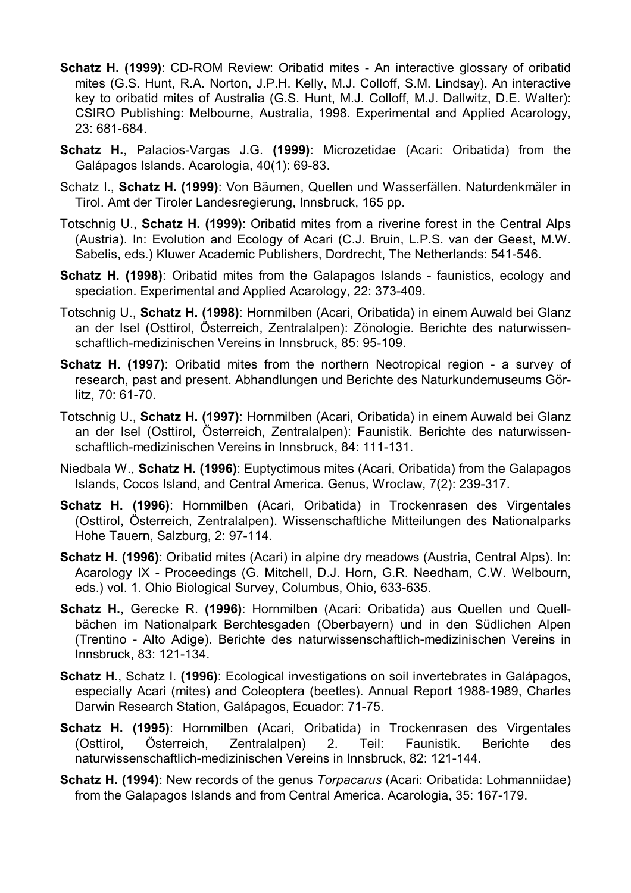- **Schatz H. (1999)**: CD-ROM Review: Oribatid mites An interactive glossary of oribatid mites (G.S. Hunt, R.A. Norton, J.P.H. Kelly, M.J. Colloff, S.M. Lindsay). An interactive key to oribatid mites of Australia (G.S. Hunt, M.J. Colloff, M.J. Dallwitz, D.E. Walter): CSIRO Publishing: Melbourne, Australia, 1998. Experimental and Applied Acarology, 23: 681-684.
- **Schatz H.**, Palacios-Vargas J.G. **(1999)**: Microzetidae (Acari: Oribatida) from the Galápagos Islands. Acarologia, 40(1): 69-83.
- Schatz I., **Schatz H. (1999)**: Von Bäumen, Quellen und Wasserfällen. Naturdenkmäler in Tirol. Amt der Tiroler Landesregierung, Innsbruck, 165 pp.
- Totschnig U., **Schatz H. (1999)**: Oribatid mites from a riverine forest in the Central Alps (Austria). In: Evolution and Ecology of Acari (C.J. Bruin, L.P.S. van der Geest, M.W. Sabelis, eds.) Kluwer Academic Publishers, Dordrecht, The Netherlands: 541-546.
- **Schatz H. (1998)**: Oribatid mites from the Galapagos Islands faunistics, ecology and speciation. Experimental and Applied Acarology, 22: 373-409.
- Totschnig U., **Schatz H. (1998)**: Hornmilben (Acari, Oribatida) in einem Auwald bei Glanz an der Isel (Osttirol, Österreich, Zentralalpen): Zönologie. Berichte des naturwissenschaftlich-medizinischen Vereins in Innsbruck, 85: 95-109.
- **Schatz H. (1997): Oribatid mites from the northern Neotropical region a survev of** research, past and present. Abhandlungen und Berichte des Naturkundemuseums Görlitz, 70: 61-70.
- Totschnig U., **Schatz H. (1997)**: Hornmilben (Acari, Oribatida) in einem Auwald bei Glanz an der Isel (Osttirol, Österreich, Zentralalpen): Faunistik. Berichte des naturwissenschaftlich-medizinischen Vereins in Innsbruck, 84: 111-131.
- Niedbala W., **Schatz H. (1996)**: Euptyctimous mites (Acari, Oribatida) from the Galapagos Islands, Cocos Island, and Central America. Genus, Wroclaw, 7(2): 239-317.
- **Schatz H. (1996)**: Hornmilben (Acari, Oribatida) in Trockenrasen des Virgentales (Osttirol, Österreich, Zentralalpen). Wissenschaftliche Mitteilungen des Nationalparks Hohe Tauern, Salzburg, 2: 97-114.
- **Schatz H. (1996)**: Oribatid mites (Acari) in alpine dry meadows (Austria, Central Alps). In: Acarology IX - Proceedings (G. Mitchell, D.J. Horn, G.R. Needham, C.W. Welbourn, eds.) vol. 1. Ohio Biological Survey, Columbus, Ohio, 633-635.
- **Schatz H.**, Gerecke R. **(1996)**: Hornmilben (Acari: Oribatida) aus Quellen und Quellbächen im Nationalpark Berchtesgaden (Oberbayern) und in den Südlichen Alpen (Trentino - Alto Adige). Berichte des naturwissenschaftlich-medizinischen Vereins in Innsbruck, 83: 121-134.
- **Schatz H.**, Schatz I. **(1996)**: Ecological investigations on soil invertebrates in Galápagos, especially Acari (mites) and Coleoptera (beetles). Annual Report 1988-1989, Charles Darwin Research Station, Galápagos, Ecuador: 71-75.
- **Schatz H. (1995)**: Hornmilben (Acari, Oribatida) in Trockenrasen des Virgentales (Osttirol, Österreich, Zentralalpen) 2. Teil: Faunistik. Berichte des naturwissenschaftlich-medizinischen Vereins in Innsbruck, 82: 121-144.
- **Schatz H. (1994)**: New records of the genus *Torpacarus* (Acari: Oribatida: Lohmanniidae) from the Galapagos Islands and from Central America. Acarologia, 35: 167-179.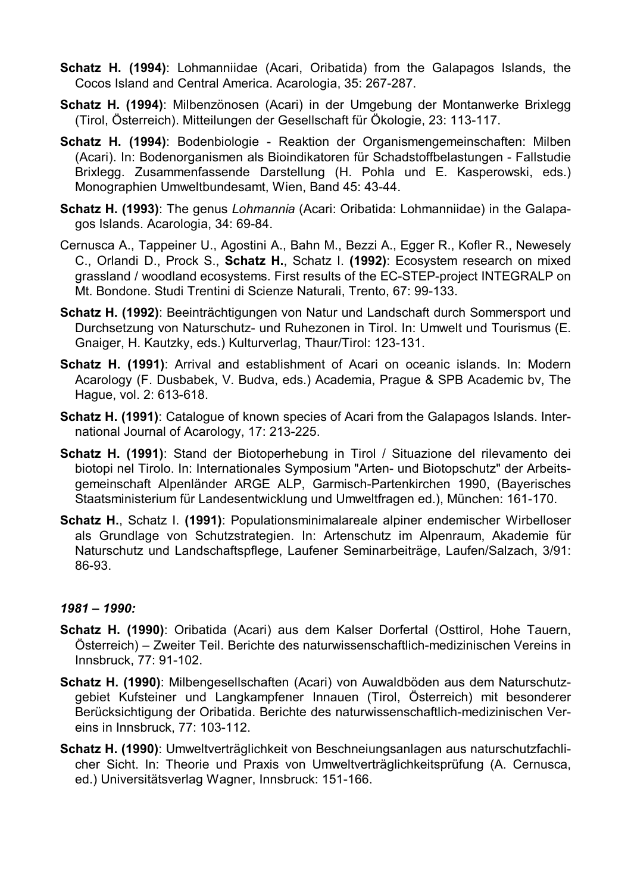- **Schatz H. (1994)**: Lohmanniidae (Acari, Oribatida) from the Galapagos Islands, the Cocos Island and Central America. Acarologia, 35: 267-287.
- **Schatz H. (1994)**: Milbenzönosen (Acari) in der Umgebung der Montanwerke Brixlegg (Tirol, Österreich). Mitteilungen der Gesellschaft für Ökologie, 23: 113-117.
- **Schatz H. (1994)**: Bodenbiologie Reaktion der Organismengemeinschaften: Milben (Acari). In: Bodenorganismen als Bioindikatoren für Schadstoffbelastungen - Fallstudie Brixlegg. Zusammenfassende Darstellung (H. Pohla und E. Kasperowski, eds.) Monographien Umweltbundesamt, Wien, Band 45: 43-44.
- **Schatz H. (1993)**: The genus *Lohmannia* (Acari: Oribatida: Lohmanniidae) in the Galapagos Islands. Acarologia, 34: 69-84.
- Cernusca A., Tappeiner U., Agostini A., Bahn M., Bezzi A., Egger R., Kofler R., Newesely C., Orlandi D., Prock S., **Schatz H.**, Schatz I. **(1992)**: Ecosystem research on mixed grassland / woodland ecosystems. First results of the EC-STEP-project INTEGRALP on Mt. Bondone. Studi Trentini di Scienze Naturali, Trento, 67: 99-133.
- **Schatz H. (1992)**: Beeinträchtigungen von Natur und Landschaft durch Sommersport und Durchsetzung von Naturschutz- und Ruhezonen in Tirol. In: Umwelt und Tourismus (E. Gnaiger, H. Kautzky, eds.) Kulturverlag, Thaur/Tirol: 123-131.
- **Schatz H. (1991)**: Arrival and establishment of Acari on oceanic islands. In: Modern Acarology (F. Dusbabek, V. Budva, eds.) Academia, Prague & SPB Academic bv, The Hague, vol. 2: 613-618.
- **Schatz H. (1991)**: Catalogue of known species of Acari from the Galapagos Islands. International Journal of Acarology, 17: 213-225.
- **Schatz H. (1991)**: Stand der Biotoperhebung in Tirol / Situazione del rilevamento dei biotopi nel Tirolo. In: Internationales Symposium "Arten- und Biotopschutz" der Arbeitsgemeinschaft Alpenländer ARGE ALP, Garmisch-Partenkirchen 1990, (Bayerisches Staatsministerium für Landesentwicklung und Umweltfragen ed.), München: 161-170.
- **Schatz H.**, Schatz I. **(1991)**: Populationsminimalareale alpiner endemischer Wirbelloser als Grundlage von Schutzstrategien. In: Artenschutz im Alpenraum, Akademie für Naturschutz und Landschaftspflege, Laufener Seminarbeiträge, Laufen/Salzach, 3/91: 86-93.

### *1981 – 1990:*

- **Schatz H. (1990)**: Oribatida (Acari) aus dem Kalser Dorfertal (Osttirol, Hohe Tauern, Österreich) – Zweiter Teil. Berichte des naturwissenschaftlich-medizinischen Vereins in Innsbruck, 77: 91-102.
- **Schatz H. (1990)**: Milbengesellschaften (Acari) von Auwaldböden aus dem Naturschutzgebiet Kufsteiner und Langkampfener Innauen (Tirol, Österreich) mit besonderer Berücksichtigung der Oribatida. Berichte des naturwissenschaftlich-medizinischen Vereins in Innsbruck, 77: 103-112.
- **Schatz H. (1990)**: Umweltverträglichkeit von Beschneiungsanlagen aus naturschutzfachlicher Sicht. In: Theorie und Praxis von Umweltverträglichkeitsprüfung (A. Cernusca, ed.) Universitätsverlag Wagner, Innsbruck: 151-166.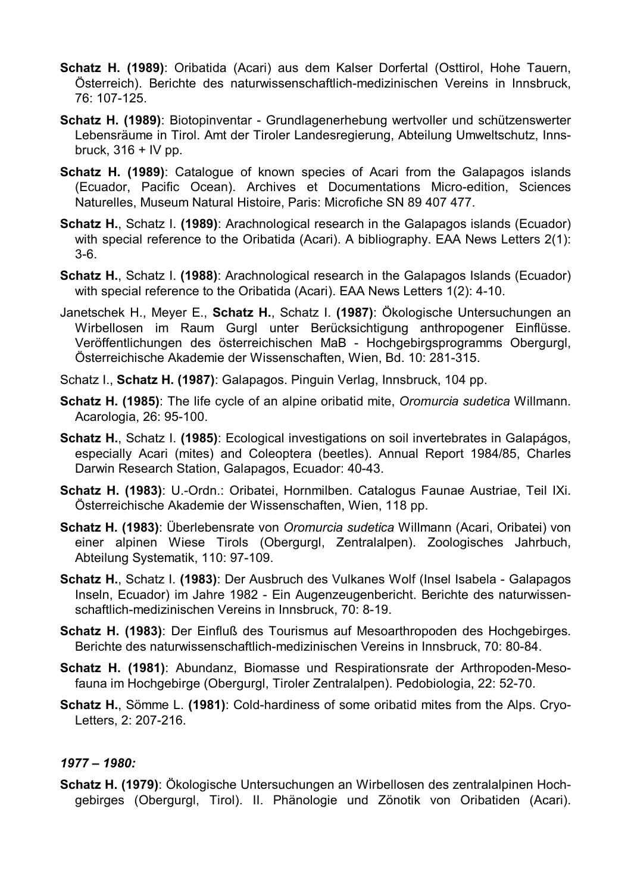- **Schatz H. (1989)**: Oribatida (Acari) aus dem Kalser Dorfertal (Osttirol, Hohe Tauern, Österreich). Berichte des naturwissenschaftlich-medizinischen Vereins in Innsbruck, 76: 107-125.
- **Schatz H. (1989)**: Biotopinventar Grundlagenerhebung wertvoller und schützenswerter Lebensräume in Tirol. Amt der Tiroler Landesregierung, Abteilung Umweltschutz, Innsbruck,  $316 + IV$  pp.
- **Schatz H. (1989)**: Catalogue of known species of Acari from the Galapagos islands (Ecuador, Pacific Ocean). Archives et Documentations Micro-edition, Sciences Naturelles, Museum Natural Histoire, Paris: Microfiche SN 89 407 477.
- **Schatz H.**, Schatz I. **(1989)**: Arachnological research in the Galapagos islands (Ecuador) with special reference to the Oribatida (Acari). A bibliography. EAA News Letters 2(1): 3-6.
- **Schatz H.**, Schatz I. **(1988)**: Arachnological research in the Galapagos Islands (Ecuador) with special reference to the Oribatida (Acari). EAA News Letters 1(2): 4-10.
- Janetschek H., Meyer E., **Schatz H.**, Schatz I. **(1987)**: Ökologische Untersuchungen an Wirbellosen im Raum Gurgl unter Berücksichtigung anthropogener Einflüsse. Veröffentlichungen des österreichischen MaB - Hochgebirgsprogramms Obergurgl, Österreichische Akademie der Wissenschaften, Wien, Bd. 10: 281-315.
- Schatz I., **Schatz H. (1987)**: Galapagos. Pinguin Verlag, Innsbruck, 104 pp.
- **Schatz H. (1985)**: The life cycle of an alpine oribatid mite, *Oromurcia sudetica* Willmann. Acarologia, 26: 95-100.
- **Schatz H.**, Schatz I. **(1985)**: Ecological investigations on soil invertebrates in Galapágos, especially Acari (mites) and Coleoptera (beetles). Annual Report 1984/85, Charles Darwin Research Station, Galapagos, Ecuador: 40-43.
- **Schatz H. (1983)**: U.-Ordn.: Oribatei, Hornmilben. Catalogus Faunae Austriae, Teil IXi. Österreichische Akademie der Wissenschaften, Wien, 118 pp.
- **Schatz H. (1983)**: Überlebensrate von *Oromurcia sudetica* Willmann (Acari, Oribatei) von einer alpinen Wiese Tirols (Obergurgl, Zentralalpen). Zoologisches Jahrbuch, Abteilung Systematik, 110: 97-109.
- **Schatz H.**, Schatz I. **(1983)**: Der Ausbruch des Vulkanes Wolf (Insel Isabela Galapagos Inseln, Ecuador) im Jahre 1982 - Ein Augenzeugenbericht. Berichte des naturwissenschaftlich-medizinischen Vereins in Innsbruck, 70: 8-19.
- **Schatz H. (1983)**: Der Einfluß des Tourismus auf Mesoarthropoden des Hochgebirges. Berichte des naturwissenschaftlich-medizinischen Vereins in Innsbruck, 70: 80-84.
- **Schatz H. (1981)**: Abundanz, Biomasse und Respirationsrate der Arthropoden-Mesofauna im Hochgebirge (Obergurgl, Tiroler Zentralalpen). Pedobiologia, 22: 52-70.
- **Schatz H.**, Sömme L. **(1981)**: Cold-hardiness of some oribatid mites from the Alps. Cryo-Letters, 2: 207-216.

### *1977 – 1980:*

**Schatz H. (1979)**: Ökologische Untersuchungen an Wirbellosen des zentralalpinen Hochgebirges (Obergurgl, Tirol). II. Phänologie und Zönotik von Oribatiden (Acari).